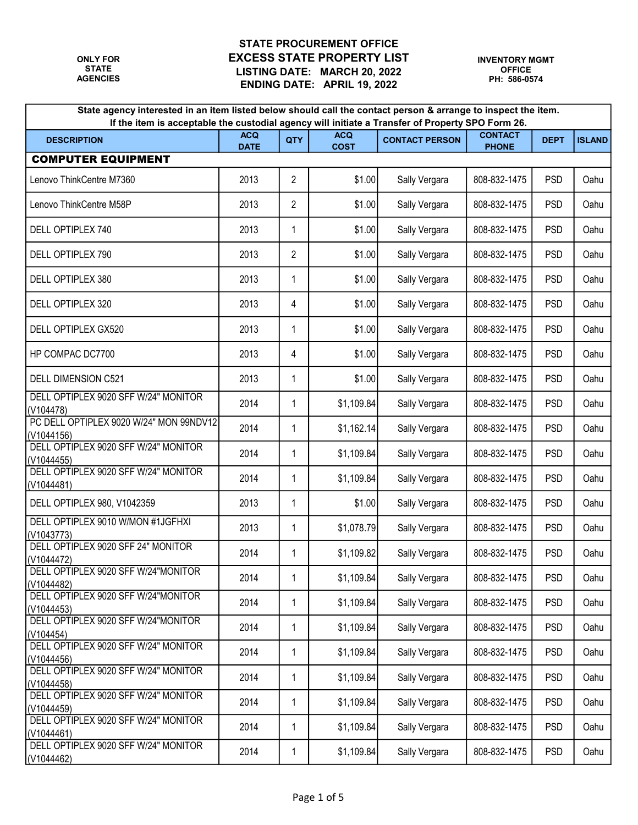| State agency interested in an item listed below should call the contact person & arrange to inspect the item.<br>If the item is acceptable the custodial agency will initiate a Transfer of Property SPO Form 26. |                           |                |                           |                       |                                |             |               |  |
|-------------------------------------------------------------------------------------------------------------------------------------------------------------------------------------------------------------------|---------------------------|----------------|---------------------------|-----------------------|--------------------------------|-------------|---------------|--|
| <b>DESCRIPTION</b>                                                                                                                                                                                                | <b>ACQ</b><br><b>DATE</b> | QTY            | <b>ACQ</b><br><b>COST</b> | <b>CONTACT PERSON</b> | <b>CONTACT</b><br><b>PHONE</b> | <b>DEPT</b> | <b>ISLAND</b> |  |
| <b>COMPUTER EQUIPMENT</b>                                                                                                                                                                                         |                           |                |                           |                       |                                |             |               |  |
| Lenovo ThinkCentre M7360                                                                                                                                                                                          | 2013                      | $\overline{2}$ | \$1.00                    | Sally Vergara         | 808-832-1475                   | <b>PSD</b>  | Oahu          |  |
| Lenovo ThinkCentre M58P                                                                                                                                                                                           | 2013                      | $\overline{c}$ | \$1.00                    | Sally Vergara         | 808-832-1475                   | <b>PSD</b>  | Oahu          |  |
| DELL OPTIPLEX 740                                                                                                                                                                                                 | 2013                      | 1              | \$1.00                    | Sally Vergara         | 808-832-1475                   | <b>PSD</b>  | Oahu          |  |
| DELL OPTIPLEX 790                                                                                                                                                                                                 | 2013                      | $\overline{2}$ | \$1.00                    | Sally Vergara         | 808-832-1475                   | <b>PSD</b>  | Oahu          |  |
| DELL OPTIPLEX 380                                                                                                                                                                                                 | 2013                      | 1              | \$1.00                    | Sally Vergara         | 808-832-1475                   | <b>PSD</b>  | Oahu          |  |
| DELL OPTIPLEX 320                                                                                                                                                                                                 | 2013                      | 4              | \$1.00                    | Sally Vergara         | 808-832-1475                   | <b>PSD</b>  | Oahu          |  |
| DELL OPTIPLEX GX520                                                                                                                                                                                               | 2013                      | 1              | \$1.00                    | Sally Vergara         | 808-832-1475                   | <b>PSD</b>  | Oahu          |  |
| HP COMPAC DC7700                                                                                                                                                                                                  | 2013                      | 4              | \$1.00                    | Sally Vergara         | 808-832-1475                   | <b>PSD</b>  | Oahu          |  |
| DELL DIMENSION C521                                                                                                                                                                                               | 2013                      | 1              | \$1.00                    | Sally Vergara         | 808-832-1475                   | <b>PSD</b>  | Oahu          |  |
| DELL OPTIPLEX 9020 SFF W/24" MONITOR<br>(V104478)                                                                                                                                                                 | 2014                      | 1              | \$1,109.84                | Sally Vergara         | 808-832-1475                   | <b>PSD</b>  | Oahu          |  |
| PC DELL OPTIPLEX 9020 W/24" MON 99NDV12<br>(V1044156)                                                                                                                                                             | 2014                      | 1              | \$1,162.14                | Sally Vergara         | 808-832-1475                   | <b>PSD</b>  | Oahu          |  |
| DELL OPTIPLEX 9020 SFF W/24" MONITOR<br>(V1044455)                                                                                                                                                                | 2014                      | 1              | \$1,109.84                | Sally Vergara         | 808-832-1475                   | <b>PSD</b>  | Oahu          |  |
| DELL OPTIPLEX 9020 SFF W/24" MONITOR<br>(V1044481)                                                                                                                                                                | 2014                      | 1              | \$1,109.84                | Sally Vergara         | 808-832-1475                   | <b>PSD</b>  | Oahu          |  |
| DELL OPTIPLEX 980, V1042359                                                                                                                                                                                       | 2013                      | 1              | \$1.00                    | Sally Vergara         | 808-832-1475                   | <b>PSD</b>  | Oahu          |  |
| DELL OPTIPLEX 9010 W/MON #1JGFHXI<br>(V1043773)                                                                                                                                                                   | 2013                      | 1              | \$1,078.79                | Sally Vergara         | 808-832-1475                   | <b>PSD</b>  | Oahu          |  |
| DELL OPTIPLEX 9020 SFF 24" MONITOR<br>(V1044472)                                                                                                                                                                  | 2014                      | 1              | \$1,109.82                | Sally Vergara         | 808-832-1475                   | <b>PSD</b>  | Oahu          |  |
| DELL OPTIPLEX 9020 SFF W/24"MONITOR<br>(V1044482)                                                                                                                                                                 | 2014                      | 1              | \$1,109.84                | Sally Vergara         | 808-832-1475                   | <b>PSD</b>  | Oahu          |  |
| DELL OPTIPLEX 9020 SFF W/24"MONITOR<br>(V1044453)                                                                                                                                                                 | 2014                      | 1              | \$1,109.84                | Sally Vergara         | 808-832-1475                   | <b>PSD</b>  | Oahu          |  |
| DELL OPTIPLEX 9020 SFF W/24"MONITOR<br>(V104454)                                                                                                                                                                  | 2014                      | 1              | \$1,109.84                | Sally Vergara         | 808-832-1475                   | <b>PSD</b>  | Oahu          |  |
| DELL OPTIPLEX 9020 SFF W/24" MONITOR<br>(V1044456)                                                                                                                                                                | 2014                      | 1              | \$1,109.84                | Sally Vergara         | 808-832-1475                   | <b>PSD</b>  | Oahu          |  |
| DELL OPTIPLEX 9020 SFF W/24" MONITOR<br>(V1044458)                                                                                                                                                                | 2014                      | 1              | \$1,109.84                | Sally Vergara         | 808-832-1475                   | <b>PSD</b>  | Oahu          |  |
| DELL OPTIPLEX 9020 SFF W/24" MONITOR<br>(V1044459)                                                                                                                                                                | 2014                      | 1              | \$1,109.84                | Sally Vergara         | 808-832-1475                   | <b>PSD</b>  | Oahu          |  |
| DELL OPTIPLEX 9020 SFF W/24" MONITOR<br>(V1044461)                                                                                                                                                                | 2014                      | 1              | \$1,109.84                | Sally Vergara         | 808-832-1475                   | <b>PSD</b>  | Oahu          |  |
| DELL OPTIPLEX 9020 SFF W/24" MONITOR<br>(V1044462)                                                                                                                                                                | 2014                      | 1              | \$1,109.84                | Sally Vergara         | 808-832-1475                   | <b>PSD</b>  | Oahu          |  |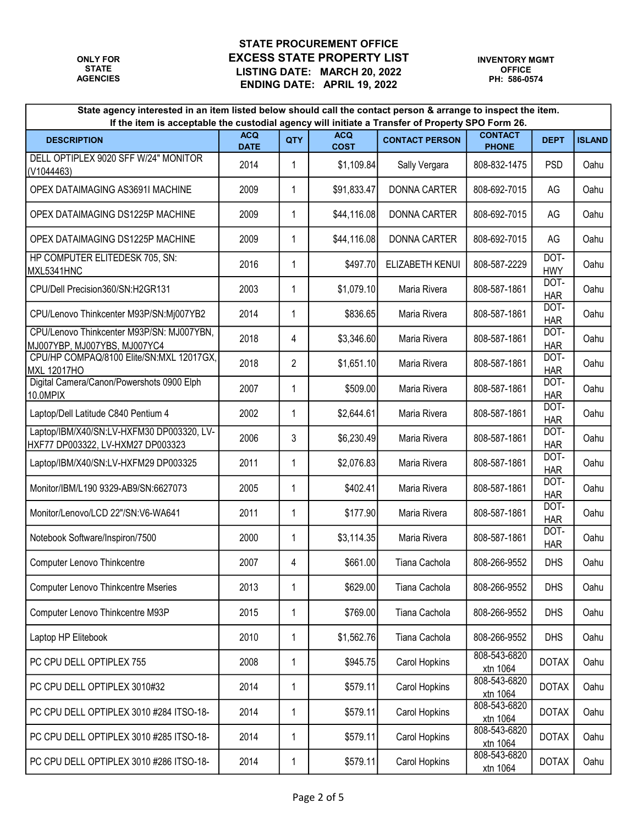| State agency interested in an item listed below should call the contact person & arrange to inspect the item.<br>If the item is acceptable the custodial agency will initiate a Transfer of Property SPO Form 26. |                           |                |                           |                       |                                |                    |               |  |
|-------------------------------------------------------------------------------------------------------------------------------------------------------------------------------------------------------------------|---------------------------|----------------|---------------------------|-----------------------|--------------------------------|--------------------|---------------|--|
| <b>DESCRIPTION</b>                                                                                                                                                                                                | <b>ACQ</b><br><b>DATE</b> | QTY            | <b>ACQ</b><br><b>COST</b> | <b>CONTACT PERSON</b> | <b>CONTACT</b><br><b>PHONE</b> | <b>DEPT</b>        | <b>ISLAND</b> |  |
| DELL OPTIPLEX 9020 SFF W/24" MONITOR<br>(V1044463)                                                                                                                                                                | 2014                      | 1              | \$1,109.84                | Sally Vergara         | 808-832-1475                   | <b>PSD</b>         | Oahu          |  |
| OPEX DATAIMAGING AS3691I MACHINE                                                                                                                                                                                  | 2009                      | 1              | \$91,833.47               | <b>DONNA CARTER</b>   | 808-692-7015                   | AG                 | Oahu          |  |
| OPEX DATAIMAGING DS1225P MACHINE                                                                                                                                                                                  | 2009                      | 1              | \$44,116.08               | <b>DONNA CARTER</b>   | 808-692-7015                   | AG                 | Oahu          |  |
| OPEX DATAIMAGING DS1225P MACHINE                                                                                                                                                                                  | 2009                      | 1              | \$44,116.08               | <b>DONNA CARTER</b>   | 808-692-7015                   | AG                 | Oahu          |  |
| HP COMPUTER ELITEDESK 705, SN:<br>MXL5341HNC                                                                                                                                                                      | 2016                      | 1              | \$497.70                  | ELIZABETH KENUI       | 808-587-2229                   | DOT-<br><b>HWY</b> | Oahu          |  |
| CPU/Dell Precision360/SN:H2GR131                                                                                                                                                                                  | 2003                      | 1              | \$1,079.10                | Maria Rivera          | 808-587-1861                   | DOT-<br><b>HAR</b> | Oahu          |  |
| CPU/Lenovo Thinkcenter M93P/SN:Mj007YB2                                                                                                                                                                           | 2014                      | 1              | \$836.65                  | Maria Rivera          | 808-587-1861                   | DOT-<br><b>HAR</b> | Oahu          |  |
| CPU/Lenovo Thinkcenter M93P/SN: MJ007YBN,<br>MJ007YBP, MJ007YBS, MJ007YC4                                                                                                                                         | 2018                      | 4              | \$3,346.60                | Maria Rivera          | 808-587-1861                   | DOT-<br><b>HAR</b> | Oahu          |  |
| CPU/HP COMPAQ/8100 Elite/SN:MXL 12017GX,<br><b>MXL 12017HO</b>                                                                                                                                                    | 2018                      | $\overline{2}$ | \$1,651.10                | Maria Rivera          | 808-587-1861                   | DOT-<br><b>HAR</b> | Oahu          |  |
| Digital Camera/Canon/Powershots 0900 Elph<br>10.0MPIX                                                                                                                                                             | 2007                      | 1              | \$509.00                  | Maria Rivera          | 808-587-1861                   | DOT-<br><b>HAR</b> | Oahu          |  |
| Laptop/Dell Latitude C840 Pentium 4                                                                                                                                                                               | 2002                      | 1              | \$2,644.61                | Maria Rivera          | 808-587-1861                   | DOT-<br><b>HAR</b> | Oahu          |  |
| Laptop/IBM/X40/SN:LV-HXFM30 DP003320, LV-<br>HXF77 DP003322, LV-HXM27 DP003323                                                                                                                                    | 2006                      | 3              | \$6,230.49                | Maria Rivera          | 808-587-1861                   | DOT-<br><b>HAR</b> | Oahu          |  |
| Laptop/IBM/X40/SN:LV-HXFM29 DP003325                                                                                                                                                                              | 2011                      | 1              | \$2,076.83                | Maria Rivera          | 808-587-1861                   | DOT-<br><b>HAR</b> | Oahu          |  |
| Monitor/IBM/L190 9329-AB9/SN:6627073                                                                                                                                                                              | 2005                      | 1              | \$402.41                  | Maria Rivera          | 808-587-1861                   | DOT-<br><b>HAR</b> | Oahu          |  |
| Monitor/Lenovo/LCD 22"/SN:V6-WA641                                                                                                                                                                                | 2011                      | 1              | \$177.90                  | Maria Rivera          | 808-587-1861                   | DOT-<br><b>HAR</b> | Oahu          |  |
| Notebook Software/Inspiron/7500                                                                                                                                                                                   | 2000                      | 1              | \$3,114.35                | Maria Rivera          | 808-587-1861                   | DOT-<br><b>HAR</b> | Oahu          |  |
| <b>Computer Lenovo Thinkcentre</b>                                                                                                                                                                                | 2007                      | 4              | \$661.00                  | Tiana Cachola         | 808-266-9552                   | <b>DHS</b>         | Oahu          |  |
| Computer Lenovo Thinkcentre Mseries                                                                                                                                                                               | 2013                      | $\mathbf{1}$   | \$629.00                  | Tiana Cachola         | 808-266-9552                   | <b>DHS</b>         | Oahu          |  |
| Computer Lenovo Thinkcentre M93P                                                                                                                                                                                  | 2015                      | 1              | \$769.00                  | Tiana Cachola         | 808-266-9552                   | <b>DHS</b>         | Oahu          |  |
| Laptop HP Elitebook                                                                                                                                                                                               | 2010                      | 1              | \$1,562.76                | Tiana Cachola         | 808-266-9552                   | <b>DHS</b>         | Oahu          |  |
| PC CPU DELL OPTIPLEX 755                                                                                                                                                                                          | 2008                      | 1              | \$945.75                  | Carol Hopkins         | 808-543-6820<br>xtn 1064       | <b>DOTAX</b>       | Oahu          |  |
| PC CPU DELL OPTIPLEX 3010#32                                                                                                                                                                                      | 2014                      | 1              | \$579.11                  | Carol Hopkins         | 808-543-6820<br>xtn 1064       | <b>DOTAX</b>       | Oahu          |  |
| PC CPU DELL OPTIPLEX 3010 #284 ITSO-18-                                                                                                                                                                           | 2014                      | 1              | \$579.11                  | Carol Hopkins         | 808-543-6820<br>xtn 1064       | <b>DOTAX</b>       | Oahu          |  |
| PC CPU DELL OPTIPLEX 3010 #285 ITSO-18-                                                                                                                                                                           | 2014                      | 1              | \$579.11                  | Carol Hopkins         | 808-543-6820<br>xtn 1064       | <b>DOTAX</b>       | Oahu          |  |
| PC CPU DELL OPTIPLEX 3010 #286 ITSO-18-                                                                                                                                                                           | 2014                      | 1              | \$579.11                  | Carol Hopkins         | 808-543-6820<br>xtn 1064       | <b>DOTAX</b>       | Oahu          |  |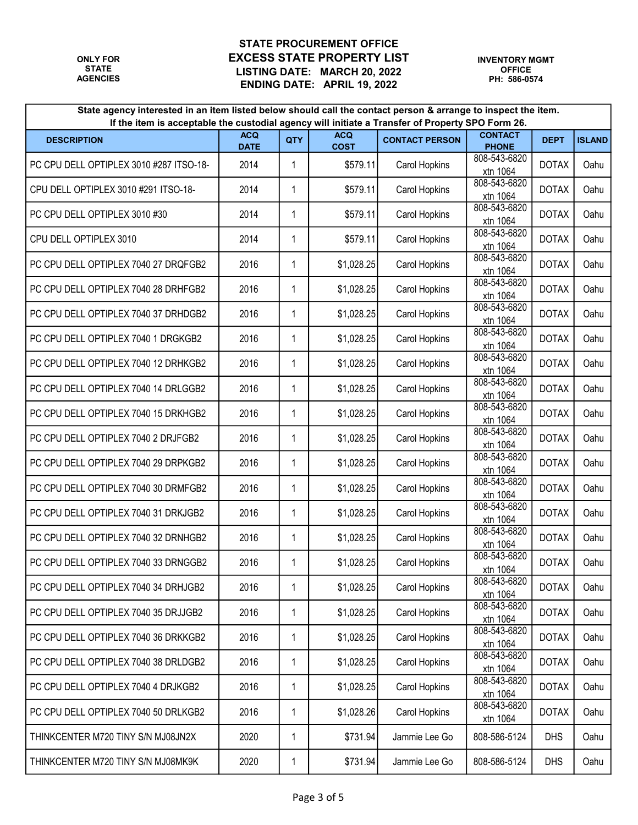| State agency interested in an item listed below should call the contact person & arrange to inspect the item.<br>If the item is acceptable the custodial agency will initiate a Transfer of Property SPO Form 26. |                           |     |                           |                       |                                |              |               |  |
|-------------------------------------------------------------------------------------------------------------------------------------------------------------------------------------------------------------------|---------------------------|-----|---------------------------|-----------------------|--------------------------------|--------------|---------------|--|
| <b>DESCRIPTION</b>                                                                                                                                                                                                | <b>ACQ</b><br><b>DATE</b> | QTY | <b>ACQ</b><br><b>COST</b> | <b>CONTACT PERSON</b> | <b>CONTACT</b><br><b>PHONE</b> | <b>DEPT</b>  | <b>ISLAND</b> |  |
| PC CPU DELL OPTIPLEX 3010 #287 ITSO-18-                                                                                                                                                                           | 2014                      | 1   | \$579.11                  | Carol Hopkins         | 808-543-6820<br>xtn 1064       | <b>DOTAX</b> | Oahu          |  |
| CPU DELL OPTIPLEX 3010 #291 ITSO-18-                                                                                                                                                                              | 2014                      | 1   | \$579.11                  | Carol Hopkins         | 808-543-6820<br>xtn 1064       | <b>DOTAX</b> | Oahu          |  |
| PC CPU DELL OPTIPLEX 3010 #30                                                                                                                                                                                     | 2014                      | 1   | \$579.11                  | Carol Hopkins         | 808-543-6820<br>xtn 1064       | <b>DOTAX</b> | Oahu          |  |
| CPU DELL OPTIPLEX 3010                                                                                                                                                                                            | 2014                      | 1   | \$579.11                  | Carol Hopkins         | 808-543-6820<br>xtn 1064       | <b>DOTAX</b> | Oahu          |  |
| PC CPU DELL OPTIPLEX 7040 27 DRQFGB2                                                                                                                                                                              | 2016                      | 1   | \$1,028.25                | Carol Hopkins         | 808-543-6820<br>xtn 1064       | <b>DOTAX</b> | Oahu          |  |
| PC CPU DELL OPTIPLEX 7040 28 DRHFGB2                                                                                                                                                                              | 2016                      | 1   | \$1,028.25                | Carol Hopkins         | 808-543-6820<br>xtn 1064       | <b>DOTAX</b> | Oahu          |  |
| PC CPU DELL OPTIPLEX 7040 37 DRHDGB2                                                                                                                                                                              | 2016                      | 1   | \$1,028.25                | Carol Hopkins         | 808-543-6820<br>xtn 1064       | <b>DOTAX</b> | Oahu          |  |
| PC CPU DELL OPTIPLEX 7040 1 DRGKGB2                                                                                                                                                                               | 2016                      | 1   | \$1,028.25                | Carol Hopkins         | 808-543-6820<br>xtn 1064       | <b>DOTAX</b> | Oahu          |  |
| PC CPU DELL OPTIPLEX 7040 12 DRHKGB2                                                                                                                                                                              | 2016                      | 1   | \$1,028.25                | Carol Hopkins         | 808-543-6820<br>xtn 1064       | <b>DOTAX</b> | Oahu          |  |
| PC CPU DELL OPTIPLEX 7040 14 DRLGGB2                                                                                                                                                                              | 2016                      | 1   | \$1,028.25                | Carol Hopkins         | 808-543-6820<br>xtn 1064       | <b>DOTAX</b> | Oahu          |  |
| PC CPU DELL OPTIPLEX 7040 15 DRKHGB2                                                                                                                                                                              | 2016                      | 1   | \$1,028.25                | Carol Hopkins         | 808-543-6820<br>xtn 1064       | <b>DOTAX</b> | Oahu          |  |
| PC CPU DELL OPTIPLEX 7040 2 DRJFGB2                                                                                                                                                                               | 2016                      | 1   | \$1,028.25                | Carol Hopkins         | 808-543-6820<br>xtn 1064       | <b>DOTAX</b> | Oahu          |  |
| PC CPU DELL OPTIPLEX 7040 29 DRPKGB2                                                                                                                                                                              | 2016                      | 1   | \$1,028.25                | Carol Hopkins         | 808-543-6820<br>xtn 1064       | <b>DOTAX</b> | Oahu          |  |
| PC CPU DELL OPTIPLEX 7040 30 DRMFGB2                                                                                                                                                                              | 2016                      | 1   | \$1,028.25                | Carol Hopkins         | 808-543-6820<br>xtn 1064       | <b>DOTAX</b> | Oahu          |  |
| PC CPU DELL OPTIPLEX 7040 31 DRKJGB2                                                                                                                                                                              | 2016                      | 1   | \$1,028.25                | Carol Hopkins         | 808-543-6820<br>xtn 1064       | <b>DOTAX</b> | Oahu          |  |
| PC CPU DELL OPTIPLEX 7040 32 DRNHGB2                                                                                                                                                                              | 2016                      | 1   | \$1,028.25                | Carol Hopkins         | 808-543-6820<br>xtn 1064       | <b>DOTAX</b> | Oahu          |  |
| PC CPU DELL OPTIPLEX 7040 33 DRNGGB2                                                                                                                                                                              | 2016                      | 1   | \$1,028.25                | Carol Hopkins         | 808-543-6820<br>xtn 1064       | <b>DOTAX</b> | Oahu          |  |
| PC CPU DELL OPTIPLEX 7040 34 DRHJGB2                                                                                                                                                                              | 2016                      | 1   | \$1,028.25                | Carol Hopkins         | 808-543-6820<br>xtn 1064       | <b>DOTAX</b> | Oahu          |  |
| PC CPU DELL OPTIPLEX 7040 35 DRJJGB2                                                                                                                                                                              | 2016                      | 1   | \$1,028.25                | Carol Hopkins         | 808-543-6820<br>xtn 1064       | <b>DOTAX</b> | Oahu          |  |
| PC CPU DELL OPTIPLEX 7040 36 DRKKGB2                                                                                                                                                                              | 2016                      | 1   | \$1,028.25                | Carol Hopkins         | 808-543-6820<br>xtn 1064       | <b>DOTAX</b> | Oahu          |  |
| PC CPU DELL OPTIPLEX 7040 38 DRLDGB2                                                                                                                                                                              | 2016                      | 1   | \$1,028.25                | Carol Hopkins         | 808-543-6820<br>xtn 1064       | <b>DOTAX</b> | Oahu          |  |
| PC CPU DELL OPTIPLEX 7040 4 DRJKGB2                                                                                                                                                                               | 2016                      | 1   | \$1,028.25                | Carol Hopkins         | 808-543-6820<br>xtn 1064       | <b>DOTAX</b> | Oahu          |  |
| PC CPU DELL OPTIPLEX 7040 50 DRLKGB2                                                                                                                                                                              | 2016                      | 1   | \$1,028.26                | Carol Hopkins         | 808-543-6820<br>xtn 1064       | <b>DOTAX</b> | Oahu          |  |
| THINKCENTER M720 TINY S/N MJ08JN2X                                                                                                                                                                                | 2020                      | 1   | \$731.94                  | Jammie Lee Go         | 808-586-5124                   | <b>DHS</b>   | Oahu          |  |
| THINKCENTER M720 TINY S/N MJ08MK9K                                                                                                                                                                                | 2020                      | 1   | \$731.94                  | Jammie Lee Go         | 808-586-5124                   | <b>DHS</b>   | Oahu          |  |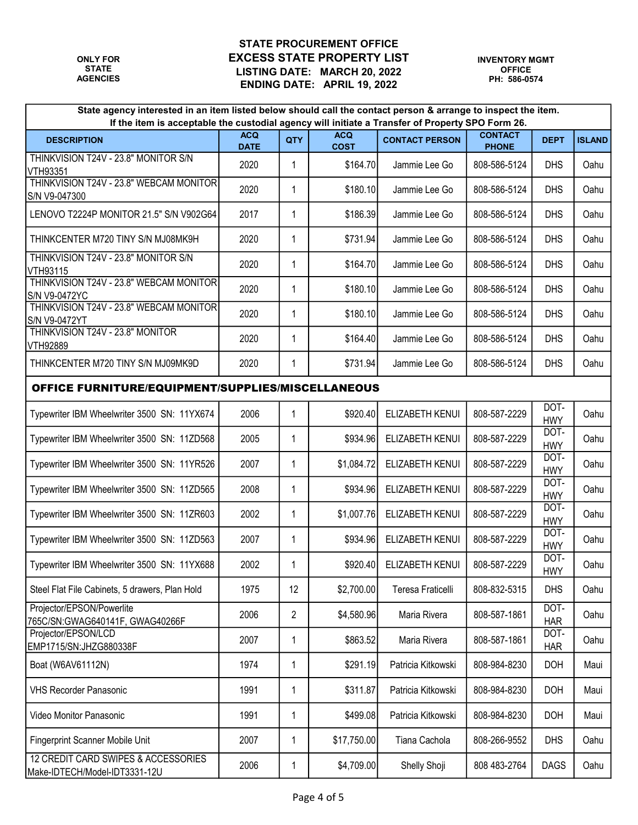| State agency interested in an item listed below should call the contact person & arrange to inspect the item.<br>If the item is acceptable the custodial agency will initiate a Transfer of Property SPO Form 26. |                           |                |                           |                        |                                |                    |               |  |  |  |
|-------------------------------------------------------------------------------------------------------------------------------------------------------------------------------------------------------------------|---------------------------|----------------|---------------------------|------------------------|--------------------------------|--------------------|---------------|--|--|--|
| <b>DESCRIPTION</b>                                                                                                                                                                                                | <b>ACQ</b><br><b>DATE</b> | QTY            | <b>ACQ</b><br><b>COST</b> | <b>CONTACT PERSON</b>  | <b>CONTACT</b><br><b>PHONE</b> | <b>DEPT</b>        | <b>ISLAND</b> |  |  |  |
| THINKVISION T24V - 23.8" MONITOR S/N<br>VTH93351                                                                                                                                                                  | 2020                      | 1              | \$164.70                  | Jammie Lee Go          | 808-586-5124                   | <b>DHS</b>         | Oahu          |  |  |  |
| THINKVISION T24V - 23.8" WEBCAM MONITOR<br>S/N V9-047300                                                                                                                                                          | 2020                      | 1              | \$180.10                  | Jammie Lee Go          | 808-586-5124                   | <b>DHS</b>         | Oahu          |  |  |  |
| LENOVO T2224P MONITOR 21.5" S/N V902G64                                                                                                                                                                           | 2017                      | 1              | \$186.39                  | Jammie Lee Go          | 808-586-5124                   | <b>DHS</b>         | Oahu          |  |  |  |
| THINKCENTER M720 TINY S/N MJ08MK9H                                                                                                                                                                                | 2020                      | 1              | \$731.94                  | Jammie Lee Go          | 808-586-5124                   | <b>DHS</b>         | Oahu          |  |  |  |
| THINKVISION T24V - 23.8" MONITOR S/N<br>VTH93115                                                                                                                                                                  | 2020                      | 1              | \$164.70                  | Jammie Lee Go          | 808-586-5124                   | <b>DHS</b>         | Oahu          |  |  |  |
| THINKVISION T24V - 23.8" WEBCAM MONITOR<br>S/N V9-0472YC                                                                                                                                                          | 2020                      | 1              | \$180.10                  | Jammie Lee Go          | 808-586-5124                   | <b>DHS</b>         | Oahu          |  |  |  |
| THINKVISION T24V - 23.8" WEBCAM MONITOR<br>S/N V9-0472YT                                                                                                                                                          | 2020                      | 1              | \$180.10                  | Jammie Lee Go          | 808-586-5124                   | <b>DHS</b>         | Oahu          |  |  |  |
| THINKVISION T24V - 23.8" MONITOR<br>VTH92889                                                                                                                                                                      | 2020                      | 1              | \$164.40                  | Jammie Lee Go          | 808-586-5124                   | <b>DHS</b>         | Oahu          |  |  |  |
| THINKCENTER M720 TINY S/N MJ09MK9D                                                                                                                                                                                | 2020                      | $\mathbf{1}$   | \$731.94                  | Jammie Lee Go          | 808-586-5124                   | <b>DHS</b>         | Oahu          |  |  |  |
| <b>OFFICE FURNITURE/EQUIPMENT/SUPPLIES/MISCELLANEOUS</b>                                                                                                                                                          |                           |                |                           |                        |                                |                    |               |  |  |  |
| Typewriter IBM Wheelwriter 3500 SN: 11YX674                                                                                                                                                                       | 2006                      | $\mathbf{1}$   | \$920.40                  | <b>ELIZABETH KENUI</b> | 808-587-2229                   | DOT-<br><b>HWY</b> | Oahu          |  |  |  |
| Typewriter IBM Wheelwriter 3500 SN: 11ZD568                                                                                                                                                                       | 2005                      | 1              | \$934.96                  | ELIZABETH KENUI        | 808-587-2229                   | DOT-<br><b>HWY</b> | Oahu          |  |  |  |
| Typewriter IBM Wheelwriter 3500 SN: 11YR526                                                                                                                                                                       | 2007                      | 1              | \$1,084.72                | ELIZABETH KENUI        | 808-587-2229                   | DOT-<br><b>HWY</b> | Oahu          |  |  |  |
| Typewriter IBM Wheelwriter 3500 SN: 11ZD565                                                                                                                                                                       | 2008                      | 1              | \$934.96                  | ELIZABETH KENUI        | 808-587-2229                   | DOT-<br><b>HWY</b> | Oahu          |  |  |  |
| Typewriter IBM Wheelwriter 3500 SN: 11ZR603                                                                                                                                                                       | 2002                      | 1              | \$1,007.76                | ELIZABETH KENUI        | 808-587-2229                   | DOT-<br><b>HWY</b> | Oahu          |  |  |  |
| Typewriter IBM Wheelwriter 3500 SN: 11ZD563                                                                                                                                                                       | 2007                      | 1              | \$934.96                  | ELIZABETH KENUI        | 808-587-2229                   | DOT-<br><b>HWY</b> | Oahu          |  |  |  |
| Typewriter IBM Wheelwriter 3500 SN: 11YX688                                                                                                                                                                       | 2002                      | 1              | \$920.40                  | ELIZABETH KENUI        | 808-587-2229                   | DOT-<br><b>HWY</b> | Oahu          |  |  |  |
| Steel Flat File Cabinets, 5 drawers, Plan Hold                                                                                                                                                                    | 1975                      | 12             | \$2,700.00                | Teresa Fraticelli      | 808-832-5315                   | <b>DHS</b>         | Oahu          |  |  |  |
| Projector/EPSON/Powerlite<br>765C/SN:GWAG640141F, GWAG40266F                                                                                                                                                      | 2006                      | $\overline{2}$ | \$4,580.96                | Maria Rivera           | 808-587-1861                   | DOT-<br><b>HAR</b> | Oahu          |  |  |  |
| Projector/EPSON/LCD<br>EMP1715/SN:JHZG880338F                                                                                                                                                                     | 2007                      | 1              | \$863.52                  | Maria Rivera           | 808-587-1861                   | DOT-<br><b>HAR</b> | Oahu          |  |  |  |
| Boat (W6AV61112N)                                                                                                                                                                                                 | 1974                      | 1              | \$291.19                  | Patricia Kitkowski     | 808-984-8230                   | <b>DOH</b>         | Maui          |  |  |  |
| <b>VHS Recorder Panasonic</b>                                                                                                                                                                                     | 1991                      | 1              | \$311.87                  | Patricia Kitkowski     | 808-984-8230                   | <b>DOH</b>         | Maui          |  |  |  |
| Video Monitor Panasonic                                                                                                                                                                                           | 1991                      | $\mathbf 1$    | \$499.08                  | Patricia Kitkowski     | 808-984-8230                   | <b>DOH</b>         | Maui          |  |  |  |
| Fingerprint Scanner Mobile Unit                                                                                                                                                                                   | 2007                      | 1              | \$17,750.00               | Tiana Cachola          | 808-266-9552                   | <b>DHS</b>         | Oahu          |  |  |  |
| 12 CREDIT CARD SWIPES & ACCESSORIES<br>Make-IDTECH/Model-IDT3331-12U                                                                                                                                              | 2006                      | 1              | \$4,709.00                | Shelly Shoji           | 808 483-2764                   | <b>DAGS</b>        | Oahu          |  |  |  |